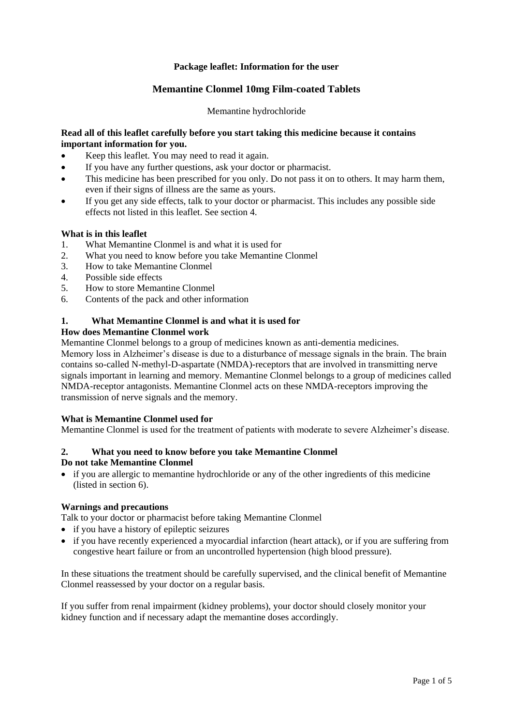## **Package leaflet: Information for the user**

# **Memantine Clonmel 10mg Film-coated Tablets**

### Memantine hydrochloride

### **Read all of this leaflet carefully before you start taking this medicine because it contains important information for you.**

- Keep this leaflet. You may need to read it again.
- If you have any further questions, ask your doctor or pharmacist.
- This medicine has been prescribed for you only. Do not pass it on to others. It may harm them, even if their signs of illness are the same as yours.
- If you get any side effects, talk to your doctor or pharmacist. This includes any possible side effects not listed in this leaflet. See section 4.

### **What is in this leaflet**

- 1. What Memantine Clonmel is and what it is used for
- 2. What you need to know before you take Memantine Clonmel
- 3. How to take Memantine Clonmel
- 4. Possible side effects
- 5. How to store Memantine Clonmel
- 6. Contents of the pack and other information

### **1. What Memantine Clonmel is and what it is used for**

#### **How does Memantine Clonmel work**

Memantine Clonmel belongs to a group of medicines known as anti-dementia medicines.

Memory loss in Alzheimer's disease is due to a disturbance of message signals in the brain. The brain contains so-called N-methyl-D-aspartate (NMDA)-receptors that are involved in transmitting nerve signals important in learning and memory. Memantine Clonmel belongs to a group of medicines called NMDA-receptor antagonists. Memantine Clonmel acts on these NMDA-receptors improving the transmission of nerve signals and the memory.

#### **What is Memantine Clonmel used for**

Memantine Clonmel is used for the treatment of patients with moderate to severe Alzheimer's disease.

#### **2. What you need to know before you take Memantine Clonmel Do not take Memantine Clonmel**

 if you are allergic to memantine hydrochloride or any of the other ingredients of this medicine (listed in section 6).

### **Warnings and precautions**

Talk to your doctor or pharmacist before taking Memantine Clonmel

- if you have a history of epileptic seizures
- if you have recently experienced a myocardial infarction (heart attack), or if you are suffering from congestive heart failure or from an uncontrolled hypertension (high blood pressure).

In these situations the treatment should be carefully supervised, and the clinical benefit of Memantine Clonmel reassessed by your doctor on a regular basis.

If you suffer from renal impairment (kidney problems), your doctor should closely monitor your kidney function and if necessary adapt the memantine doses accordingly.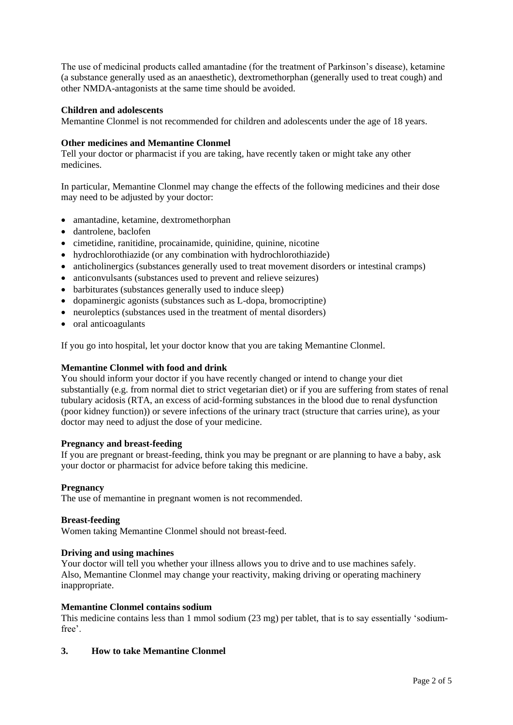The use of medicinal products called amantadine (for the treatment of Parkinson's disease), ketamine (a substance generally used as an anaesthetic), dextromethorphan (generally used to treat cough) and other NMDA-antagonists at the same time should be avoided.

## **Children and adolescents**

Memantine Clonmel is not recommended for children and adolescents under the age of 18 years.

### **Other medicines and Memantine Clonmel**

Tell your doctor or pharmacist if you are taking, have recently taken or might take any other medicines.

In particular, Memantine Clonmel may change the effects of the following medicines and their dose may need to be adjusted by your doctor:

- amantadine, ketamine, dextromethorphan
- dantrolene, baclofen
- cimetidine, ranitidine, procainamide, quinidine, quinine, nicotine
- hydrochlorothiazide (or any combination with hydrochlorothiazide)
- anticholinergics (substances generally used to treat movement disorders or intestinal cramps)
- anticonvulsants (substances used to prevent and relieve seizures)
- barbiturates (substances generally used to induce sleep)
- dopaminergic agonists (substances such as L-dopa, bromocriptine)
- neuroleptics (substances used in the treatment of mental disorders)
- oral anticoagulants

If you go into hospital, let your doctor know that you are taking Memantine Clonmel.

## **Memantine Clonmel with food and drink**

You should inform your doctor if you have recently changed or intend to change your diet substantially (e.g. from normal diet to strict vegetarian diet) or if you are suffering from states of renal tubulary acidosis (RTA, an excess of acid-forming substances in the blood due to renal dysfunction (poor kidney function)) or severe infections of the urinary tract (structure that carries urine), as your doctor may need to adjust the dose of your medicine.

### **Pregnancy and breast-feeding**

If you are pregnant or breast-feeding, think you may be pregnant or are planning to have a baby, ask your doctor or pharmacist for advice before taking this medicine.

### **Pregnancy**

The use of memantine in pregnant women is not recommended.

### **Breast-feeding**

Women taking Memantine Clonmel should not breast-feed.

### **Driving and using machines**

Your doctor will tell you whether your illness allows you to drive and to use machines safely. Also, Memantine Clonmel may change your reactivity, making driving or operating machinery inappropriate.

### **Memantine Clonmel contains sodium**

This medicine contains less than 1 mmol sodium (23 mg) per tablet, that is to say essentially 'sodiumfree'.

### **3. How to take Memantine Clonmel**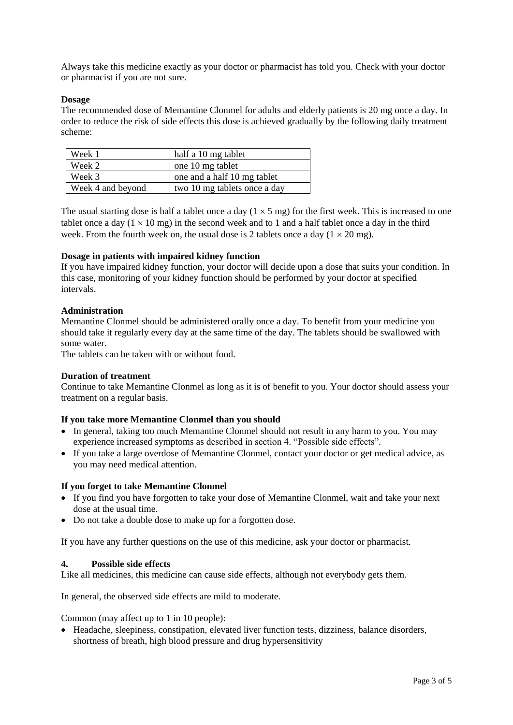Always take this medicine exactly as your doctor or pharmacist has told you. Check with your doctor or pharmacist if you are not sure.

### **Dosage**

The recommended dose of Memantine Clonmel for adults and elderly patients is 20 mg once a day. In order to reduce the risk of side effects this dose is achieved gradually by the following daily treatment scheme:

| Week 1            | half a 10 mg tablet          |
|-------------------|------------------------------|
| Week 2            | one 10 mg tablet             |
| Week 3            | one and a half 10 mg tablet  |
| Week 4 and beyond | two 10 mg tablets once a day |

The usual starting dose is half a tablet once a day  $(1 \times 5 \text{ mg})$  for the first week. This is increased to one tablet once a day ( $1 \times 10$  mg) in the second week and to 1 and a half tablet once a day in the third week. From the fourth week on, the usual dose is 2 tablets once a day  $(1 \times 20 \text{ mg})$ .

### **Dosage in patients with impaired kidney function**

If you have impaired kidney function, your doctor will decide upon a dose that suits your condition. In this case, monitoring of your kidney function should be performed by your doctor at specified intervals.

## **Administration**

Memantine Clonmel should be administered orally once a day. To benefit from your medicine you should take it regularly every day at the same time of the day. The tablets should be swallowed with some water.

The tablets can be taken with or without food.

### **Duration of treatment**

Continue to take Memantine Clonmel as long as it is of benefit to you. Your doctor should assess your treatment on a regular basis.

### **If you take more Memantine Clonmel than you should**

- In general, taking too much Memantine Clonmel should not result in any harm to you. You may experience increased symptoms as described in section 4. "Possible side effects".
- If you take a large overdose of Memantine Clonmel, contact your doctor or get medical advice, as you may need medical attention.

### **If you forget to take Memantine Clonmel**

- If you find you have forgotten to take your dose of Memantine Clonmel, wait and take your next dose at the usual time.
- Do not take a double dose to make up for a forgotten dose.

If you have any further questions on the use of this medicine, ask your doctor or pharmacist.

### **4. Possible side effects**

Like all medicines, this medicine can cause side effects, although not everybody gets them.

In general, the observed side effects are mild to moderate.

Common (may affect up to 1 in 10 people):

 Headache, sleepiness, constipation, elevated liver function tests, dizziness, balance disorders, shortness of breath, high blood pressure and drug hypersensitivity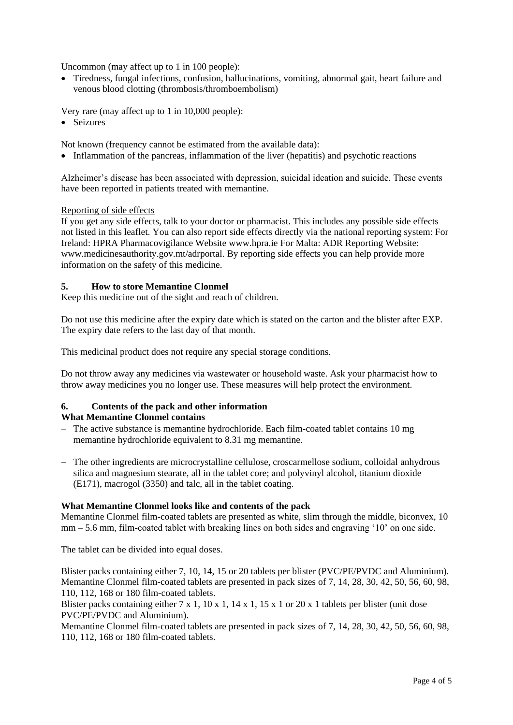Uncommon (may affect up to 1 in 100 people):

 Tiredness, fungal infections, confusion, hallucinations, vomiting, abnormal gait, heart failure and venous blood clotting (thrombosis/thromboembolism)

Very rare (may affect up to 1 in 10,000 people):

• Seizures

Not known (frequency cannot be estimated from the available data):

• Inflammation of the pancreas, inflammation of the liver (hepatitis) and psychotic reactions

Alzheimer's disease has been associated with depression, suicidal ideation and suicide. These events have been reported in patients treated with memantine.

### Reporting of side effects

If you get any side effects, talk to your doctor or pharmacist. This includes any possible side effects not listed in this leaflet. You can also report side effects directly via the national reporting system: For Ireland: HPRA Pharmacovigilance Website [www.hpra.ie](http://www.hpra.ie/) For Malta: ADR Reporting Website: [www.medicinesauthority.gov.mt/adrportal.](http://www.medicinesauthority.gov.mt/adrportal) By reporting side effects you can help provide more information on the safety of this medicine.

## **5. How to store Memantine Clonmel**

Keep this medicine out of the sight and reach of children.

Do not use this medicine after the expiry date which is stated on the carton and the blister after EXP. The expiry date refers to the last day of that month.

This medicinal product does not require any special storage conditions.

Do not throw away any medicines via wastewater or household waste. Ask your pharmacist how to throw away medicines you no longer use. These measures will help protect the environment.

#### **6. Contents of the pack and other information What Memantine Clonmel contains**

- The active substance is memantine hydrochloride. Each film-coated tablet contains 10 mg memantine hydrochloride equivalent to 8.31 mg memantine.
- The other ingredients are microcrystalline cellulose, croscarmellose sodium, colloidal anhydrous silica and magnesium stearate, all in the tablet core; and polyvinyl alcohol, titanium dioxide (E171), macrogol (3350) and talc, all in the tablet coating.

### **What Memantine Clonmel looks like and contents of the pack**

Memantine Clonmel film-coated tablets are presented as white, slim through the middle, biconvex, 10 mm – 5.6 mm, film-coated tablet with breaking lines on both sides and engraving '10' on one side.

The tablet can be divided into equal doses.

Blister packs containing either 7, 10, 14, 15 or 20 tablets per blister (PVC/PE/PVDC and Aluminium). Memantine Clonmel film-coated tablets are presented in pack sizes of 7, 14, 28, 30, 42, 50, 56, 60, 98, 110, 112, 168 or 180 film-coated tablets.

Blister packs containing either  $7 \times 1$ ,  $10 \times 1$ ,  $14 \times 1$ ,  $15 \times 1$  or  $20 \times 1$  tablets per blister (unit dose PVC/PE/PVDC and Aluminium).

Memantine Clonmel film-coated tablets are presented in pack sizes of 7, 14, 28, 30, 42, 50, 56, 60, 98, 110, 112, 168 or 180 film-coated tablets.